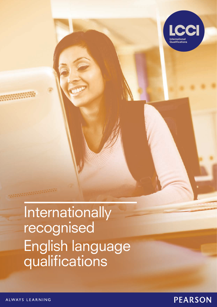

# Internationally recognised English language qualifications

ALWAYS LEARNING

**MARKETER** 

# **PEARSON**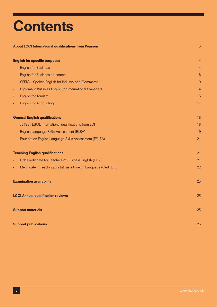# **Contents**

#### About LCCI International qualifications from Pearson 3

|          | <b>English for specific purposes</b>                             | $\overline{4}$ |
|----------|------------------------------------------------------------------|----------------|
| Ξ        | <b>English for Business</b>                                      | 4              |
| ÷.       | English for Business on-screen                                   | 6              |
| $\equiv$ | SEFIC - Spoken English for Industry and Commerce                 | 9              |
| Ξ        | Diploma in Business English for International Managers           | 14             |
| Ξ        | <b>English for Tourism</b>                                       | 15             |
| ÷,       | <b>English for Accounting</b>                                    | 17             |
|          | <b>General English qualifications</b>                            | 18             |
| Ξ        | JETSET ESOL International qualifications from EDI                | 18             |
| ٠        | English Language Skills Assessment (ELSA)                        | 19             |
| ÷        | Foundation English Language Skills Assessment (FELSA)            | 21             |
|          | <b>Teaching English qualifications</b>                           | 21             |
| ÷,       | First Certificate for Teachers of Business English (FTBE)        | 21             |
| ÷        | Certificate in Teaching English as a Foreign Language (CertTEFL) | 22             |
|          | <b>Examination availability</b>                                  | 23             |
|          | <b>LCCI Annual qualification reviews</b>                         | 23             |
|          | <b>Support materials</b>                                         | 23             |
|          | <b>Support publications</b>                                      | 23             |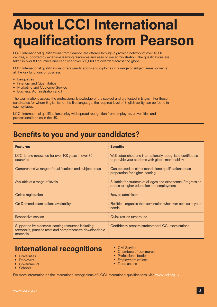# About LCCI International qualifications from Pearson

LCCI International qualifications from Pearson are offered through a growing network of over 4,000 centres, supported by extensive learning resources and easy online administration. The qualifications are taken in over 80 countries and each year over 500,000 are awarded across the globe.

LCCI International qualifications offers qualifications and diplomas in a range of subject areas, covering all the key functions of business:

- Languages
- • Financial and Quantitative
- **Marketing and Customer Service**
- Business, Administration and IT

The examinations assess the professional knowledge of the subject and are tested in English. For those candidates for whom English is not the first language, the required level of English ability can be found in each syllabus.

LCCI International qualifications enjoy widespread recognition from employers, universities and professional bodies in the UK.

## Benefits to you and your candidates?

| <b>Features</b>                                                                                                              | <b>Benefits</b>                                                                                                    |
|------------------------------------------------------------------------------------------------------------------------------|--------------------------------------------------------------------------------------------------------------------|
| LCCI brand renowned for over 100 years in over 80<br>countries                                                               | Well established and internationally recognised certificates<br>to provide your students with global marketability |
| Comprehensive range of qualifications and subject areas                                                                      | Can be used as either stand alone qualifications or as<br>preparation for higher learning                          |
| Available at a range of levels                                                                                               | Suitable for students of all ages and experience. Progression<br>routes to higher education and employment         |
| Online registration                                                                                                          | Easy to administer                                                                                                 |
| On Demand examinations availability                                                                                          | Flexible – organise the examination whenever best suits your<br>needs                                              |
| Responsive service                                                                                                           | Quick results turnaround                                                                                           |
| Supported by extensive learning resources including<br>textbooks, practice tests and comprehensive downloadable<br>materials | Confidently prepare students for LCCI examinations                                                                 |

# International recognitions

- Universities
- **Employers**
- **Governments**
- **Schools**
- Civil Service
- Chambers of commerce
- Professional bodies
- **Employment offices**
- Trade unions

For more information on the international recognitions of LCCI International qualifications, visit www.lcci.org.uk.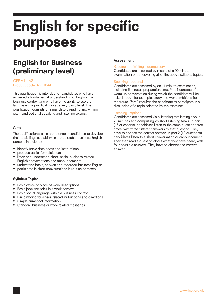# English for specific purposes

# English for Business (preliminary level)

#### CEF  $A1 - A2$ Product code: ASE1044

This qualification is intended for candidates who have achieved a fundamental understanding of English in a business context and who have the ability to use the language in a practical way at a very basic level. The qualification consists of a mandatory reading and writing exam and optional speaking and listening exams.

#### Aims

The qualification's aims are to enable candidates to develop their basic linguistic ability, in a predictable business English context, in order to:

- • identify basic data, facts and instructions
- produce basic, formulaic text
- listen and understand short, basic, business-related English conversations and announcements
- understand basic, spoken and recorded business English
- participate in short conversations in routine contexts

#### Syllabus Topics

- Basic office or place of work descriptions
- Basic jobs and roles in a work context
- Basic social language within a business context
- Basic work or business related instructions and directions
- Simple numerical information
- Standard business or work-related messages

#### **Assessment**

#### Reading and Writing – compulsory

Candidates are assessed by means of a 90 minute examination paper covering all of the above syllabus topics.

#### Speaking - optional

Candidates are assessed by an 11 minute examination, including 5 minutes preparation time. Part 1 consists of a warm up conversation during which the candidate will be asked about, for example, study and work ambitions for the future. Part 2 requires the candidate to participate in a discussion of a topic selected by the examiner.

#### Listening - optional

Candidates are assessed via a listening test lasting about 20 minutes and comprising 25 short listening tasks. In part 1 (13 questions), candidates listen to the same question three times, with three different answers to that question. They have to choose the correct answer. In part 2 (12 questions), candidates listen to a short conversation or announcement. They then read a question about what they have heard, with four possible answers. They have to choose the correct answer.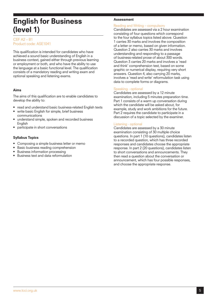### English for Business (level 1)

#### CEF A2 – B1 Product code: ASE1041

This qualification is intended for candidates who have achieved a sound basic understanding of English in a business context, gained either through previous learning or employment or both, and who have the ability to use the language at a basic functional level. The qualification consists of a mandatory reading and writing exam and optional speaking and listening exams.

#### Aims

The aims of this qualification are to enable candidates to develop the ability to:

- read and understand basic business-related English texts
- write basic English for simple, brief business communications
- understand simple, spoken and recorded business English
- participate in short conversations

#### Syllabus Topics

- Composing a simple business letter or memo
- Basic business reading comprehension
- **Business information processing**
- Business text and data reformulation

#### Assessment

#### Reading and Writing – compulsory

Candidates are assessed via a 2 hour examination consisting of four questions which correspond to the four syllabus topics listed above. Question 1 carries 30 marks and involves the composition of a letter or memo, based on given information. Question 2 also carries 30 marks and involves understanding and responding to a passage of business-related prose of about 300 words. Question 3 carries 20 marks and involves a 'read and think' comprehension test, based on some graphic or numerical display, requiring very short answers. Question 4, also carrying 20 marks, involves a 'read and write' reformulation task using data to complete forms or diagrams.

#### Speaking - optional

Candidates are assessed by a 12 minute examination, including 5 minutes preparation time. Part 1 consists of a warm up conversation during which the candidate will be asked about, for example, study and work ambitions for the future. Part 2 requires the candidate to participate in a discussion of a topic selected by the examiner.

#### Listening - optional

Candidates are assessed by a 30 minute examination consisting of 30 multiple choice questions. In part 1 (10 questions), candidates listen to a recorded question, which has three recorded responses and candidates choose the appropriate response. In part 2 (20 questions), candidates listen to short conversations and announcements. They then read a question about the conversation or announcement, which has four possible responses, and choose the appropriate response.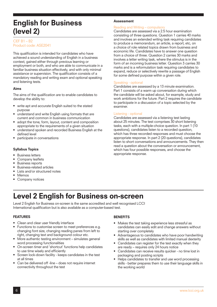## English for Business (level 2)

#### $CFF R1 - R2$ Product code: ASE2041

This qualification is intended for candidates who have achieved a sound understanding of English in a business context, gained either through previous learning or employment or both, and who are able to communicate in a familiar business situation effectively, and with only minimal assistance or supervision. The qualification consists of a mandatory reading and writing exam and optional speaking and listening tests.

#### Aims

The aims of the qualification are to enable candidates to develop the ability to:

- write apt and accurate English suited to the stated purpose
- understand and write English using formats that are current and common in business communication
- adopt the tone, form, layout, content and composition appropriate to the requirements of a given situation
- understand spoken and recorded Business English at the defined level
- participate in conversations

#### Syllabus Topics

- **Business letters**
- Company leaflets
- **Business reports**
- Business-related articles
- Lists and/or structured notes
- • Memos
- Company notices

#### Assessment

#### Reading and Writing – compulsory

Candidates are assessed via a 2.5 hour examination consisting of three questions. Question 1 carries 40 marks and involves an extended writing task requiring candidates to produce a memorandum, an article, a report, etc, on a choice of role related topics drawn from business and economic life. Candidates have to answer one question from a choice of three. Question 2 carries 30 marks and involves a letter writing task, where the stimulus is in the form of an incoming business letter. Question 3 carries 30 marks and is a reformulation task requiring candidates to expand, reduce or selectively rewrite a passage of English for some defined purpose within a given role.

#### Speaking - optional

Candidates are assessed by a 13 minute examination. Part 1 consists of a warm up conversation during which the candidate will be asked about, for example, study and work ambitions for the future. Part 2 requires the candidate to participate in a discussion of a topic selected by the examiner.

#### Listening - optional

Candidates are assessed via a listening test lasting about 25 minutes. The test comprises 30 short listening tasks, each with a multiple-choice question. In part 1 (10 questions), candidates listen to a recorded question, which has three recorded responses and must choose the appropriate response. In part 2 (20 questions), candidates listen to short conversations and announcements. They then read a question about the conversation or announcement, which has four possible responses, and choose the appropriate response.

# Level 2 English for Business on-screen

Level 2 English for Business on-screen is the same accredited and well recognised LCCI International qualification but is also available as a computer-based test.

#### FEATURES

- Clean and clear user friendly interface
- Functions to customise screen to meet preferences e.g. changing font size, changing reading panes from left to right, changing text and background colour etc.
- More authentic testing environment simulates general word processing functionalities
- On-screen timer and 'shortcut' functions help candidates to use time wisely and efficiently
- Screen lock-down facility keeps candidates in the test at all times
- Can be delivered off -line does not require internet connectivity throughout the test

#### **BENEFITS**

- Makes the test taking experience less stressful as candidates can easily edit and change answers without starting over completely
- Advantageous to candidates who have poor handwriting skills as well as candidates with limited manual dexterity
- Candidates can register for the test exactly when they are ready – requires only 24 hours notice
- Candidates can receive results quicker no time lost in packaging and posting scripts
- Helps candidates to transfer and use word processing skills - better prepares them to use their language skills in the working world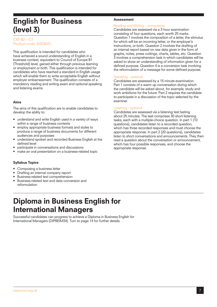### English for Business (level 3)

#### $CFF$  B<sub>2</sub> –  $C1$ Product code: ASE3041

This qualification is intended for candidates who have achieved a sound understanding of English in a business context, equivalent to Council of Europe B1 (Threshold) level, gained either through previous learning or employment or both. This qualification is intended for candidates who have reached a standard in English usage which will enable them to write acceptable English without employer embarrassment. The qualification consists of a mandatory reading and writing exam and optional speaking and listening exams.

#### Aims

The aims of this qualification are to enable candidates to develop the ability to:

- understand and write English used in a variety of ways within a range of business contexts
- employ appropriate business formats and styles to produce a range of business documents for different audiences and purposes
- understand spoken and recorded Business English at the defined level
- participate in conversations and discussions
- make an oral presentation on a business-related topic

#### Syllabus Topics

- Composing a business letter
- Drafting an internal company report
- Business-related text comprehension
- Business-related text and data conversion and reformulation

### Diploma in Business English for International Managers

Successful candidates can progress to achieve a Diploma in Business English for International Managers (DIPBEIM34). Turn to page 14 for further details.

#### Assessment

#### Reading and Writing – compulsory

Candidates are assessed via a 3 hour examination consisting of four questions, each worth 25 marks. Question 1 involves the composition of a letter, the stimulus for which will be an incoming letter, or the employer's instructions, or both. Question 2 involves the drafting of an internal report based on raw data given in the form of graphs, notes, press cuttings, charts, tables, etc. Question 3 involves a comprehension task in which candidates will be asked to show an understanding of information given for a defined purpose. Question 4 is a conversion task involving the reformulation of a message for some defined purpose.

#### Speaking - optional

Candidates are assessed by a 15 minute examination. Part 1 consists of a warm up conversation during which the candidate will be asked about, for example, study and work ambitions for the future. Part 2 requires the candidate to participate in a discussion of the topic selected by the examiner.

#### Listening - optional

Candidates are assessed via a listening test lasting about 25 minutes. The test comprises 30 short listening tasks, each with a multiple-choice question. In part 1 (10 questions), candidates listen to a recorded question, which has three recorded responses and must choose the appropriate response. In part 2 (20 questions), candidates listen to short conversations and announcements. They then read a question about the conversation or announcement, which has four possible responses, and choose the appropriate response.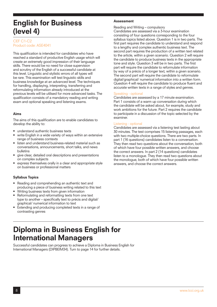## English for Business (level 4)

#### CEF C1-C2 Product code: ASE4041

This qualification is intended for candidates who have reached a standard of productive English usage which will create an extremely good impression of their language skills. There would be no need for close supervision and scrutiny of the English of a successful candidate at this level. Linguistic and stylistic errors of all types will be rare. This examination will test linguistic skills and business knowledge at an advanced level. The techniques for handling, displaying, interpreting, transferring and reformulating information already introduced at the previous levels will be utilised for more advanced tasks. The qualification consists of a mandatory reading and writing exam and optional speaking and listening exams.

#### Aims

The aims of this qualification are to enable candidates to develop the ability to:

- understand authentic business texts
- write English in a wide variety of ways within an extensive range of business contexts
- listen and understand business-related material such as conversations, announcements, short talks, and news bulletins
- give clear, detailed oral descriptions and presentations on complex subjects
- express themselves orally in a clear and appropriate style on business or professional matters

#### Syllabus Topics

- Reading and comprehending an authentic text and producing a piece of business writing related to this text
- Writing business texts from given information
- Reformulating and reformatting texts from one text type to another – specifically text to précis and digital/ graphical/ numerical information to text
- Extending and producing completed texts in a range of contrasting genres

#### **Assessment**

Reading and Writing – compulsory

Candidates are assessed via a 3-hour examination consisting of four questions corresponding to the four syllabus topics listed above. Question 1 is in two parts. The first part requires the candidate to understand and respond to a lengthy and complex authentic business text. The second part requires the production of a written text related to the article, within a given scenario. Question 2 will require the candidate to produce business texts in the appropriate tone and style. Question 3 will be in two parts. The first part will require the candidate to reformulate information by way of a précis of a longer text, within a given scenario. The second part will require the candidate to reformulate digital/graphical/ numerical information into a written form. Question 4 will require the candidate to produce fluent and accurate written texts in a range of styles and genres.

#### Speaking - optional

Candidates are assessed by a 17 minute examination. Part 1 consists of a warm up conversation during which the candidate will be asked about, for example, study and work ambitions for the future. Part 2 requires the candidate to participate in a discussion of the topic selected by the examiner.

#### Listening - optional

Candidates are assessed via a listening test lasting about 30 minutes. The test comprises 15 listening passages, each with two multiple-choice questions. There are two parts. In part 1 (16 questions) candidates listen to a conversation. They then read two questions about the conversation, both of which have four possible written answers, and choose the correct answers. In part 2 (14 questions) candidates listen to a monologue. They then read two questions about the monologue, both of which have four possible written answers, and choose the correct answers.

### Diploma in Business English for International Managers

Successful candidates can progress to achieve a Diploma in Business English for International Managers (DIPBEIM34). Turn to page 14 for further details.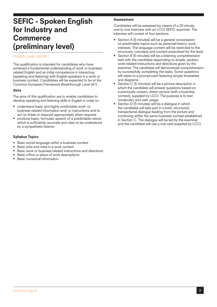### SEFIC - Spoken English for Industry and **Commerce** (preliminary level)

#### Product code: ASE901

This qualification is intended for candidates who have achieved a fundamental understanding of work or businessrelated English and an initial competence in interacting (speaking and listening) with English-speakers in a work or business context. Candidates will be expected to be at the Common European Framework Breakthrough Level (A1).

#### Aims

The aims of this qualification are to enable candidates to develop speaking and listening skills in English in order to:

- understand basic and highly predictable work- or business related information and/ or instructions and to act on these or respond appropriately when required
- produce basic, formulaic speech of a predictable nature which is sufficiently accurate and clear to be understood by a sympathetic listener

#### Syllabus Topics

- Basic social language within a business context
- Basic jobs and roles in a work context
- Basic work or business related instructions and directions
- Basic office or place of work descriptions
- **Basic numerical information**

#### **Assessment**

Candidates will be assessed by means of a 20 minute, one-to one interview with an LCCI SEFIC examiner. The interview will consist of four sections:

- Section A (5 minutes) will be a general conversation on predictable topics such as personal history, work, interests. The language content will be restricted to the structures, concepts and content prescribed for the level.
- Section B (5 minutes) will be a listening comprehension task with the candidate responding to simple, spoken, work-related instructions and directions given by the examiner. The candidate will demonstrate comprehension by successfully completing the tasks. Some questions will relate to a prompt-card featuring simple timetables and diagrams.
- Section C (5 minutes) will be a picture description in which the candidate will answer questions based on a previously unseen, drawn picture (with a business context), supplied by LCCI. The purpose is to test vocabulary and verb usage.
- Section  $D$  (5 minutes) will be a dialogue in which the candidate will take part in a brief, structured, transactional dialogue leading from the picture and continuing within the same business context established in Section C. The dialogue will be led by the examiner and the candidate will use a cue card supplied by LCCI.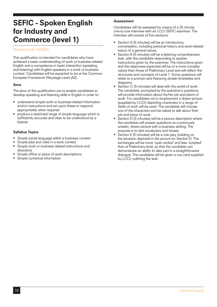### SEFIC - Spoken English for Industry and Commerce (level 1)

#### Product code: ASE801

This qualification is intended for candidates who have achieved a basic understanding of work or business-related English and a competence in basic interaction (speaking and listening) with English-speakers in a work or business context. Candidates will be expected to be at the Common European Framework Waystage Level (A2).

#### Aims

The aims of this qualification are to enable candidates to develop speaking and listening skills in English in order to:

- understand simple work or business-related information and/or instructions and act upon these or respond appropriately when required
- produce a restricted range of simple language which is sufficiently accurate and clear to be understood by a listener

#### Syllabus Topics

- Simple social language within a business context
- Simple jobs and roles in a work context
- Simple work or business related instructions and directions
- Simple office or place of work descriptions
- Simple numerical information

#### Assessment

Candidates will be assessed by means of a 25 minute, one-to-one interview with an LCCI SEFIC examiner. The interview will consist of five sections:

- Section A (5 minutes) will be an introductory conversation, including personal history and work-related topics of a general nature.
- Section B (5 minutes) will be a listening comprehension task, with the candidate responding to spoken instructions given by the examiner. The instructions given and the responses expected will be of a more complex nature than those of Preliminary Level and will reflect the structures and concepts of Level 1. Some questions will relate to a prompt card featuring simple timetables and diagrams.
- Section C (5 minutes) will deal with the world of work. The candidate, prompted by the examiner's questions, will provide information about his/her job and place of work. For candidates not in employment a drawn picture (supplied by LCCI) depicting characters in a range of fields of work will be used. The candidate will choose one of the characters and be asked to talk about their job and place of work.
- $\overline{S}$  Section  $\overline{D}$  (5 minutes) will be a picture description where the candidate will answer questions on a previously unseen, drawn picture with a business setting. The purpose is to test vocabulary and tenses.
- Section E (5 minutes) will be a role play, building on the situation depicted in the picture for Section D. The exchanges will be more 'open ended' and less 'scripted' than at Preliminary level, so that the candidate can demonstrate an ability to take part in a straightforward dialogue. The candidate will be given a cue card supplied by LCCI, outlining the task.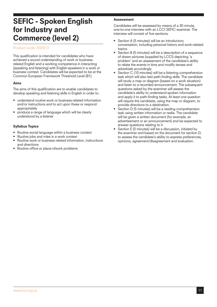### SEFIC - Spoken English for Industry and Commerce (level 2)

#### Product code: ASE813

This qualification is intended for candidates who have achieved a sound understanding of work or businessrelated English and a working competence in interacting (speaking and listening) with English-speakers in a work or business context. Candidates will be expected to be at the Common European Framework Threshold Level (B1).

#### Aims

The aims of this qualification are to enable candidates to develop speaking and listening skills in English in order to:

- understand routine work or business-related information and/or instructions and to act upon these or respond appropriately
- produce a range of language which will be clearly understood by a listener

#### Syllabus Topics

- Routine social language within a business context
- Routine jobs and roles in a work context
- Routine work or business related information, instructions and directions
- Routine office or place-ofwork problems

#### **Assessment**

Candidates will be assessed by means of a 30 minute, one-to-one interview with an LCCI SEFIC examiner. The interview will consist of five sections:

- Section A (5 minutes) will be an introductory conversation, including personal history and work-related topics.
- Section B (5 minutes) will be a description of a sequence of drawn pictures (supplied by LCCI) depicting 'a problem' and an assessment of the candidate's ability to relate the events in time and modify tenses and adverbials accordingly.
- Section C (10 minutes) will be a listening comprehension task which will also test path-finding skills. The candidate will study a map or diagram (based on a work situation) and listen to a recorded announcement. The subsequent questions asked by the examiner will assess the candidate's ability to understand spoken information and apply it to path-finding tasks. At least one question will require the candidate, using the map or diagram, to provide directions to a destination.
- Section D (5 minutes) will be a reading comprehension task using written information or realia. The candidate will be given a written document (for example, an advertisement or an announcement) and be expected to answer questions relating to it.
- Section E (5 minutes) will be a discussion, initiated by the examiner and based on the document for section D, to assess the candidate's ability to express preferences, opinions, agreement/disagreement and evaluation.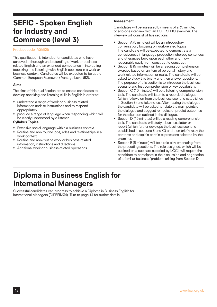## SEFIC - Spoken English for Industry and Commerce (level 3)

#### Product code: ASE825

This qualification is intended for candidates who have achieved a thorough understanding of work or businessrelated English and an extended competence in interacting (speaking and listening) with English-speakers in a work or business context. Candidates will be expected to be at the Common European Framework Vantage Level (B2).

#### Aims

The aims of this qualification are to enable candidates to develop speaking and listening skills in English in order to:

- understand a range of work or business related information and/ or instructions and to respond appropriately
- produce a range of language when responding which will be clearly understood by a listener

#### Syllabus Topics

- Extensive social language within a business context
- Routine and non routine jobs, roles and relationships in a work context
- Routine and non-routine work or business-related information, instructions and directions
- Additional work or business-related operations

#### Assessment

Candidates will be assessed by means of a 35 minute, one-to-one interview with an LCCI SEFIC examiner. The interview will consist of five sections:

- Section A (5 minutes) will be an introductory conversation, focusing on work-related topics. The candidate will be expected to demonstrate a cohesiveness in language production whereby sentences and utterances build upon each other and fl ow reasonably easily from construct to construct.
- Section B (5 minutes) will be a reading comprehension exercise based on an item of personal history and work related information or realia. The candidate will be asked to study this briefly and then answer questions. The purpose of this section is to introduce the business scenario and test comprehension of key vocabulary.
- Section C (10 minutes) will be a listening comprehension task. The candidate will listen to a recorded dialogue (which follows on from the business scenario established in Section B) and take notes. After hearing the dialogue the candidate will be asked to relate the main points of the dialogue and suggest remedies or predict outcomes for the situation outlined in the dialogue.
- Section D (10 minutes) will be a reading comprehension task. The candidate will study a business letter or report (which further develops the business scenario established in sections B and C) and then briefly relay the contents and explain certain expressions selected by the examiner.
- Section E (5 minutes) will be a role play emanating from the preceding sections. The role assigned, which will be outlined on a cue card supplied by LCCI, will require the candidate to participate in the discussion and negotiation of a familiar business 'problem' arising from Section D.

# Diploma in Business English for International Managers

Successful candidates can progress to achieve a Diploma in Business English for International Managers (DIPBEIM34). Turn to page 14 for further details.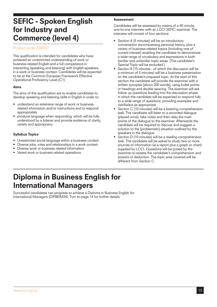### SEFIC - Spoken English for Industry and Commerce (level 4)

#### Product code: ASE837

This qualification is intended for candidates who have achieved an unrestricted understanding of work or business-related English and a full competence in interacting (speaking and listening) with English-speakers in a work or business context. Candidates will be expected to be at the Common European Framework Effective Operational Proficiency Level (C1).

#### Aims

The aims of this qualification are to enable candidates to develop speaking and listening skills in English in order to:

- understand an extensive range of work or businessrelated information and/or instructions and to respond appropriately
- produce language when responding, which will be fully understood by a listener and provide evidence of clarity, variety and appropriacy

#### Syllabus Topics

- Unrestricted social language within a business context
- Diverse jobs, roles and relationships in a work context
- Diverse work or business related information
- Varied work or business related operations

#### **Assessment**

Candidates will be assessed by means of a 40 minute, one-to-one interview with an LCCI SEFIC examiner. The interview will consist of four sections:

- Section A (5 minutes) will be an introductory conversation encompassing personal history, plus a variety of business-related topics (including one of current interest) enabling the candidate to demonstrate a wide range of vocabulary and expressions in both familiar and unfamiliar topic areas. (The candidate's Special Topic will be excluded.)
- Section B (15 minutes of which the discussion will be a minimum of 5 minutes) will be a business presentation on the candidate's prepared topic. At the start of this section the candidate will provide the examiner with a written synopsis (about 200 words), using bullet points or headings and double spacing. The examiner will ask follow up questions leading into the discussion phase in which the candidate will be expected to respond fully to a wide range of questions, providing examples and clarifiation as appropriate.
- Section C (10 minutes) will be a listening comprehension task. The candidate will listen to a recorded dialogue (played once), take notes and then relay the main points of the dialogue to the examiner. Afterwards the candidate will be required to discuss and suggest a solution to the (problematic) situation outlined by the speakers in the dialogue.
- Section D (10 minutes) will be a reading comprehension task. The candidate will be asked to study two or more sources of information (ie a report plus a graph or chart) supplied by LCCI. Questions will be posed by the examiner to assess the candidate's comprehension and powers of deduction. The topic area covered will be different from Section C.

### Diploma in Business English for International Managers

Successful candidates can progress to achieve a Diploma in Business English for International Managers (DIPBEIM34). Turn to page 14 for further details.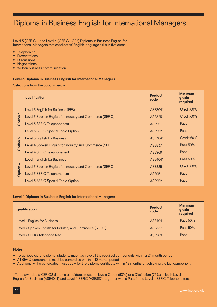## Diploma in Business English for International Managers

Level 3 (CEF C1) and Level 4 (CEF C1-C2\*) Diploma in Business English for International Managers test candidates' English language skills in five areas:

- **Telephoning**
- **Presentations**
- **Discussions**
- **Negotiations**
- **Written business communication**

#### Level 3 Diploma in Business English for International Managers

Select one from the options below:

|                 | qualification                                            | <b>Product</b><br>code | <b>Minimum</b><br>grade<br>required |
|-----------------|----------------------------------------------------------|------------------------|-------------------------------------|
|                 | Level 3 English for Business (EFB)                       | ASE3041                | Credit 60%                          |
| Option 3        | Level 3 Spoken English for Industry and Commerce (SEFIC) | <b>ASE825</b>          | Credit 60%                          |
|                 | Level 3 SEFIC Telephone test                             | <b>ASE951</b>          | Pass                                |
|                 | Level 3 SEFIC Special Topic Option                       | <b>ASE952</b>          | <b>Pass</b>                         |
|                 | Level 3 English for Business                             | ASE3041                | Credit 60%                          |
| <b>Option 3</b> | Level 4 Spoken English for Industry and Commerce (SEFIC) | <b>ASE837</b>          | Pass 50%                            |
|                 | Level 4 SEFIC Telephone test                             | <b>ASE969</b>          | Pass                                |
|                 | Level 4 English for Business                             | ASE4041                | Pass 50%                            |
| <b>Dption 3</b> | Level 3 Spoken English for Industry and Commerce (SEFIC) | <b>ASE825</b>          | Credit 60%                          |
|                 | Level 3 SEFIC Telephone test                             | <b>ASE951</b>          | <b>Pass</b>                         |
|                 | Level 3 SEFIC Special Topic Option                       | <b>ASE952</b>          | Pass                                |

#### Level 4 Diploma in Business English for International Managers

| qualification                                            | <b>Product</b><br>code | <b>Minimum</b><br>grade<br>required |
|----------------------------------------------------------|------------------------|-------------------------------------|
| Level 4 English for Business                             | ASE4041                | Pass 50%                            |
| Level 4 Spoken English for Industry and Commerce (SEFIC) | <b>ASE837</b>          | Pass 50%                            |
| Level 4 SEFIC Telephone test                             | ASF969                 | Pass                                |

#### **Notes**

- • To achieve either diploma, students much achieve all the required components within a 24 month period
- All SEFIC components must be completed within a 12 month period
- • Additionally, the candidates must apply for the diploma certificate within 12 months of achieving the last component

\*To be awarded a CEF C2 diploma candidates must achieve a Credit (60%) or a Distinction (75%) in both Level 4 English for Business (ASE4041) and Level 4 SEFIC (ASE837), together with a Pass in the Level 4 SEFIC Telephone test.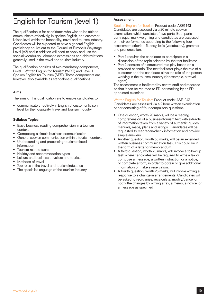# English for Tourism (level 1)

The qualification is for candidates who wish to be able to communicate effectively, in spoken English, at a customer liaison level within the hospitality, travel and tourism industry. Candidates will be expected to have a general English proficiency equivalent to the Council of Europe's Waystage Level (A2) and in addition will need to apply and use the special vocabulary, idiomatic expressions and abbreviations generally used in the travel and tourism industry.

The qualification consists of two mandatory components, Level 1 Written English for Tourism (WEfT) and Level 1 Spoken English for Tourism (SEfT). These components are, however, also available as standalone qualifications.

#### Aims

The aims of this qualification are to enable candidates to:

communicate effectively in English at customer liaison level for the hospitality, travel and tourism industry

#### Syllabus Topics

- Basic business reading comprehension in a tourism context
- Composing a simple business communication
- General spoken communication within a tourism context
- Understanding and processing tourism related information
- Tourism-related tasks
- Holiday and accommodation types
- Leisure and business travellers and tourists
- Methods of travel
- Job roles in the travel and tourism industries
- The specialist language of the tourism industry

#### Assessment

Spoken English for Tourism Product code: ASE1143 Candidates are assessed via a 20 minute spoken examination, which consists of two parts. Both parts carry equal mark weighting and candidates are assessed on their performance according to the following four assessment criteria – fluency, lexis (vocabulary), grammar and pronunciation.

- Part 1 requires the candidate to participate in a discussion of the topic selected by the test facilitator.
- Part 2 consists of a structured role play based on a provided scenario. The test facilitator plays the role of a customer and the candidate plays the role of the person working in the tourism industry (for example, a travel agent).

The assessment is facilitated by centre staff and recorded so that it can be returned to EDI for marking by an EDI appointed examiner.

Written English for Tourism Product code: ASE1043

Candidates are assessed via a 2 hour written examination paper consisting of four compulsory questions.

- One question, worth 20 marks, will be a reading comprehension of a business/tourism text with extracts of information taken from a variety of authentic guides, manuals, maps, plans and listings. Candidates will be requested to read/scan/check information and provide simple answers.
- Another question, worth 35 marks, will be an extended written business communication task. This could be in the form of a letter or memorandum.
- A third question, worth 20 marks, will involve a follow up task where candidates will be required to write a fax or compose a message, a written instruction or a notice, or complete a form, in order to obtain or give additional information or make a reservation.
- A fourth question, worth 25 marks, will involve writing a response to a change in arrangements. Candidates will be asked to reorganise, recalculate, modify/cancel or notify the changes by writing a fax, a memo, a notice, or a message as specified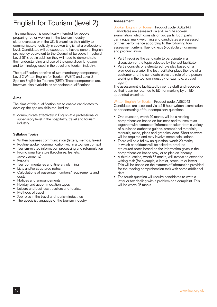# English for Tourism (level 2)

This qualification is specifically intended for people preparing for, or working in, the tourism industry, either overseas or in the UK. It examines their ability to communicate effectively in spoken English at a professional level. Candidates will be expected to have a general English proficiency equivalent to the Council of Europe's Threshold Level (B1), but in addition they will need to demonstrate their understanding and use of the specialised language and terminology used in the travel and tourism industry.

The qualification consists of two mandatory components, Level 2 Written English for Tourism (WEfT) and Level 2 Spoken English for Tourism (SEfT). These components are, however, also available as standalone qualifications.

#### Aims

The aims of this qualification are to enable candidates to develop the spoken skills required to:

• communicate effectively in English at a professional or supervisory level in the hospitality, travel and tourism industry.

#### Syllabus Topics

- Written business communication (letters, memos, faxes)
- Routine spoken communication within a tourism context
- Tourism-related information processing and reformulation
- Promotional literature (brochures, leaflets,
- advertisements)
- **Reports**
- Tour commentaries and itinerary planning
- Lists and/or structured notes
- Calculations of passenger numbers/ requirements and costs
- Notices and announcements
- Holiday and accommodation types
- Leisure and business travellers and tourists
- Methods of travel
- Job roles in the travel and tourism industries
- The specialist language of the tourism industry

#### Assessment

Spoken English for Tourism Product code: ASE2143 Candidates are assessed via a 20 minute spoken examination, which consists of two parts. Both parts carry equal mark weighting and candidates are assessed on their performance according to the following four assessment criteria: fluency, lexis (vocabulary), grammar and pronunciation.

- Part 1 requires the candidate to participate in a discussion of the topic selected by the test facilitator.
- Part 2 consists of a structured role play based on a provided scenario. The test facilitator plays the role of a customer and the candidate plays the role of the person working in the tourism industry (for example, a travel agent).

The assessment is facilitated by centre staff and recorded so that it can be returned to EDI for marking by an EDI appointed examiner.

#### Written English for Tourism Product code: ASE2043

Candidates are assessed via a 2.5 hour written examination paper consisting of four compulsory questions.

- One question, worth 20 marks, will be a reading comprehension based on business and tourism texts together with extracts of information taken from a variety of published authentic guides, promotional materials, manuals, maps, plans and graphical data. Short answers will be required and may involve some calculations.
- There will be a follow up question, worth 20 marks, in which candidates will be asked to produce structured notes based on the information given in the comprehension based task, or to plan an itinerary.
- A third question, worth 35 marks, will involve an extended writing task (for example, a leaflet, brochure or letter). This will be based on the extracts of information provided for the reading comprehension task with some additional data.
- The fourth question will require candidates to write a letter or fax dealing with a problem or a complaint. This will be worth 25 marks.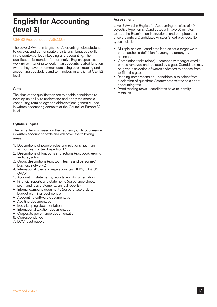### English for Accounting (level 3)

#### CEF B2 Product code: ASE20053

The Level 3 Award in English for Accounting helps students to develop and demonstrate their English language skills in the context of book-keeping and accounting. The qualification is intended for non-native English speakers working or intending to work in an accounts related function where they have to communicate using book-keeping and accounting vocabulary and terminology in English at CEF B2 level.

#### Aims

The aims of the qualification are to enable candidates to develop an ability to understand and apply the specific vocabulary, terminology and abbreviations generally used in written accounting contexts at the Council of Europe B2 level.

#### Syllabus Topics

The target lexis is based on the frequency of its occurrence in written accounting texts and will cover the following areas:

- 1. Descriptions of people, roles and relationships in an accounting context Page 4 of 17
- 2. Descriptions of functions and actions (e.g. bookkeeping, auditing, advising)
- 3. Group descriptions (e.g. work teams and personnel/ business networks)
- 4. International rules and regulations (e.g. IFRS, UK & US GAAP)
- 5. Accounting statements, reports and documentation:
- Financial reports and statements (eg balance sheets, profit and loss statements, annual reports)
- internal company documents (eg purchase orders, budget planning, cost control)
- Accounting software documentation
- Auditing documentation
- Book-keeping documentation
- International taxation documentation
- Corporate governance documentation
- 6. Correspondence
- 7. LCCI past papers

#### Assessment

Level 3 Award in English for Accounting consists of 40 objective type items. Candidates will have 50 minutes to read the Examination Instructions, and complete their answers onto a Candidates Answer Sheet provided. Item types include:

- Multiple-choice candidate is to select a target word that matches a definition / synonym / antonym / collocation.
- Completion tasks (cloze) sentence with target word / phrase removed and replaced by a gap. Candidates may be given a selection of words / phrases to choose from to fill in the gap.
- Reading comprehension  $-$  candidate is to select from a selection of questions / statements related to a short accounting text.
- Proof reading tasks candidates have to identify mistakes.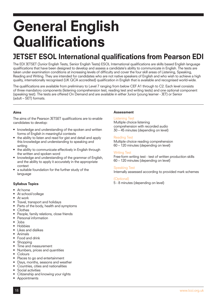# General English **Qualifications**

# JETSET ESOL International qualifications from Pearson EDI

The EDI JETSET (Junior English Tests, Senior English Tests) ESOL International qualifications are skills based English language qualifications that have been designed to develop and assess a candidate's ability to communicate in English. The tests are taken under examination conditions at increasing levels of difficulty and cover the four skill areas of Listening, Speaking, Reading and Writing. They are intended for candidates who are not native speakers of English and who wish to achieve a high quality, internationally recognised (UK QCA accredited) qualification in English that is available and recognised world-wide.

The qualifications are available from preliminary to Level 7 ranging from below CEF A1 through to C2. Each level consists of three mandatory components (listening comprehension test, reading test and writing tests) and one optional component (speaking test). The tests are offered On Demand and are available in either Junior (young learner - JET) or Senior (adult – SET) formats.

#### Aims

The aims of the Pearson JETSET qualifications are to enable candidates to develop:

- knowledge and understanding of the spoken and written forms of English in meaningful contexts
- the ability to listen and read for gist and detail and apply this knowledge and understanding to speaking and writing
- the ability to communicate effectively in English through the written and spoken word
- knowledge and understanding of the grammar of English, and the ability to apply it accurately in the appropriate context
- a suitable foundation for the further study of the language

#### Syllabus Topics

- At home
- At school/college
- At work
- Travel, transport and holidays
- Parts of the body, health and symptoms
- **Clothes**
- People, family relations, close friends
- Personal information
- • Jobs
- **Hobbies**
- Likes and dislikes
- • Animals
- Food and drink Shopping
- Time and measurement
- Numbers, prices and quantities
- **Colours**
- Places to go and entertainment
- Days, months, seasons and weather
- Countries, cities and nationalities
- Social activities
- Citizenship and knowing your rights

#### **Assessment**

#### Listening Test

Multiple choice listening comprehension with recorded audio 30 – 45 minutes (depending on level)

#### Reading Test

Multiple choice reading comprehension 60 – 120 minutes (depending on level)

#### Writing Test

Free-form writing test - test of written production skills 60 – 120 minutes (depending on level)

#### Speaking Test

Internally assessed according to provided mark schemes

#### (Optional)

5 - 8 minutes (depending on level)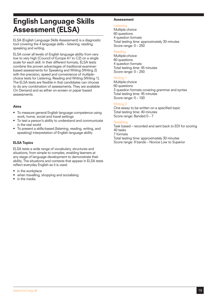### English Language Skills Assessment (ELSA)

ELSA (English Language Skills Assessment) is a diagnostic tool covering the 4 language skills – listening, reading, speaking and writing.

ELSA cover all levels of English language ability from very low to very high (Council of Europe A1 to C2) on a single scale for each skill. In their different formats, ELSA tests combine the proven advantages of traditional examinerbased assessments for Speaking and Writing (Writing 2) with the precision, speed and convenience of multiplechoice tests for Listening, Reading and Writing (Writing 1). The ELSA tests are flexible in that candidates can choose to do any combination of assessments. They are available On Demand and as either on-screen or paper based assessments.

#### Aims

- To measure general English language competence using work, home, social and travel settings
- To test a person's ability to understand and communicate in the real world
- To present a skills-based (listening, reading, writing, and speaking) interpretation of English language ability

#### ELSA Topics

ELSA tests a wide range of vocabulary, structures and situations, from simple to complex, enabling learners at any stage of language development to demonstrate their ability. The situations and contexts that appear in ELSA tests reflect everyday English as it is used:

- in the workplace
- when travelling, shopping and socialising
- in the media

#### Assessment

#### **Listening**

Multiple choice 60 questions 4 question formats Total testing time: approximately 30 minutes Score range: 0 – 250

#### Reading

Multiple-choice 60 questions 4 question formats Total testing time: 45 minutes Score range: 0 – 250

#### Writing<sup>1</sup>

Multiple-choice 60 questions 3 question formats covering grammar and syntax Total testing time: 45 minutes Score range: 0 – 100

#### Writing 2

One essay to be written on a specified topic Total testing time: 40 minutes Score range: Banded 0 – 7

#### **Speaking**

Task based – recorded and sent back to EDI for scoring 40 tasks 7 formats Total testing time: approximately 30 minutes Score range: 9 bands – Novice Low to Superior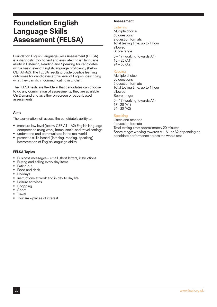### Foundation English Language Skills Assessment (FELSA)

Foundation English Language Skills Assessment (FELSA) is a diagnostic tool to test and evaluate English language ability in Listening, Reading and Speaking for candidates with a basic level of English language proficiency (below CEF A1-A2). The FELSA results provide positive learning outcomes for candidates at this level of English, describing what they can do in communicating in English.

The FELSA tests are flexible in that candidates can choose to do any combination of assessments, they are available On Demand and as either on-screen or paper based assessments.

#### Aims

The examination will assess the candidate's ability to:

- measure low level (below CEF A1 A2) English language competence using work, home, social and travel settings
- understand and communicate in the real world
- present a skills-based (listening, reading, speaking) interpretation of English language ability

#### FELSA Topics

- Business messages email, short letters, instructions
- Buying and selling every day items
- Eating out
- Food and drink
- **Holidays**
- Instructions at work and in day to day life
- Leisure activities
- **Shopping**
- **Sport**
- **Travel**
- Tourism places of interest

#### Assessment

#### **Listening**

Multiple choice 30 questions 2 question formats Total testing time: up to 1 hour allowed Score range: 0 – 17 (working towards A1)  $18 - 23$  (A1)  $24 - 30 (A2)$ 

#### Reading

Multiple choice 30 questions 5 question formats Total testing time: up to 1 hour allowed Score range: 0 – 17 (working towards A1) 18 - 23 (A1)

24 - 30 (A2)

#### **Speaking**

Listen and respond 4 question formats Total testing time: approximately 20 minutes Score range: working towards A1, A1 or A2 depending on candidate performance across the whole test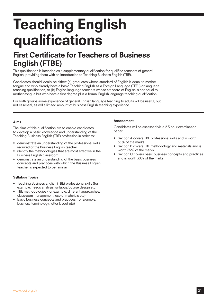# Teaching English qualifications

### First Certificate for Teachers of Business English (FTBE)

This qualification is intended as a supplementary qualification for qualified teachers of general English, providing them with an introduction to Teaching Business English (TBE).

Candidates should ideally be either: (a) graduates whose standard of English is equal to mother tongue and who already have a basic Teaching English as a Foreign Language (TEFL) or language teaching qualification, or (b) English language teachers whose standard of English is not equal to mother-tongue but who have a first degree plus a formal English language teaching qualification.

For both groups some experience of general English language teaching to adults will be useful, but not essential, as will a limited amount of business English teaching experience.

#### Aims

The aims of this qualification are to enable candidates to develop a basic knowledge and understanding of the Teaching Business English (TBE) profession in order to:

- demonstrate an understanding of the professional skills required of the Business English teacher
- identify the methodologies that are most effective in the Business English classroom
- demonstrate an understanding of the basic business concepts and practices with which the Business English teacher is expected to be familiar

#### Syllabus Topics

- Teaching Business English (TBE) professional skills (for example, needs analysis, syllabus/course design etc)
- TBE methodologies (for example, different approaches, classroom management, use of materials etc)
- Basic business concepts and practices (for example, business terminology, letter layout etc)

#### Assessment

Candidates will be assessed via a 2.5 hour examination paper.

- Section A covers TBE professional skills and is worth 35% of the marks
- Section B covers TBE methodology and materials and is worth 35% of the marks
- Section C covers basic business concepts and practices and is worth 30% of the marks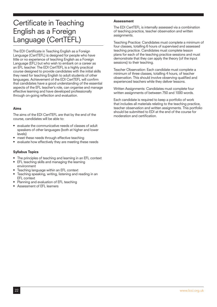## Certificate in Teaching English as a Foreign Language (CertTEFL)

The EDI Certificate in Teaching English as a Foreign Language (CertTEFL) is designed for people who have little or no experience of teaching English as a Foreign Language (EFL) but who wish to embark on a career as an EFL teacher. The EDI CertTEFL is a highly practical course designed to provide candidates with the initial skills they need for teaching English to adult students of other languages. Achievement of the EDI CertTEFL will confirm that candidates have a good understanding of the essential aspects of the EFL teacher's role, can organise and manage effective learning and have developed professionally through on-going reflection and evaluation.

#### Aims

The aims of the EDI CertTEFL are that by the end of the course, candidates will be able to:

- evaluate the communicative needs of classes of adult speakers of other languages (both at higher and lower levels)
- meet these needs through effective teaching
- evaluate how effectively they are meeting these needs

#### Syllabus Topics

- The principles of teaching and learning in an EFL context
- **EFL teaching skills and managing the learning** environment
- Teaching language within an EFL context
- Teaching speaking, writing, listening and reading in an EFL context
- Planning and evaluation of EFL teaching
- Assessment of FFL learners

#### Assessment

The EDI CertTEFL is internally assessed via a combination of teaching practice, teacher observation and written assignments.

Teaching Practice: Candidates must complete a minimum of four classes, totalling 6 hours of supervised and assessed teaching practice. Candidates must complete lesson plans for each of the teaching practice sessions and must demonstrate that they can apply the theory (of the input sessions) to their teaching.

Teacher Observation: Each candidate must complete a minimum of three classes, totalling 4 hours, of teacher observation. This should involve observing qualified and experienced teachers while they deliver lessons.

Written Assignments: Candidates must complete four written assignments of between 750 and 1000 words.

Each candidate is required to keep a portfolio of work that includes all materials relating to the teaching practice, teacher observation and written assignments. This portfolio should be submitted to EDI at the end of the course for moderation and certification.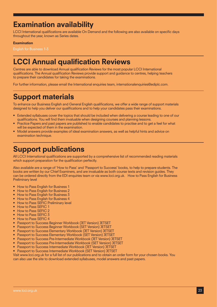## Examination availability

LCCI International qualifications are available On Demand and the following are also available on specific days throughout the year, known as Series dates.

#### **Examination**

## LCCI Annual qualification Reviews

Centres are able to download Annual qualification Reviews for the most popular LCCI International qualifications. The Annual qualification Reviews provide support and guidance to centres, helping teachers to prepare their candidates for taking the examinations.

For further information, please email the International enquiries team, internationalenquiries@ediplc.com.

### Support materials

To enhance our Business English and General English qualifications, we offer a wide range of support materials designed to help you deliver our qualifications and to help your candidates pass their examinations.

- Extended syllabuses cover the topics that should be included when delivering a course leading to one of our qualifications. You will find them invaluable when designing courses and planning lessons.
- Practice Papers and past papers are published to enable candidates to practise and to get a feel for what will be expected of them in the examination.
- Model answers provide examples of ideal examination answers, as well as helpful hints and advice on examination technique.

### Support publications

All LCCI International qualifications are supported by a comprehensive list of recommended reading materials which support preparation for the qualification perfectly.

Also available are a range of 'How to Pass' and 'Passport to Success' books, to help to prepare students. The books are written by our Chief Examiners, and are invaluable as both course texts and revision guides. They can be ordered directly from the EDI enquiries team or via www.lcci.org.uk. How to Pass English for Business Preliminary level

- How to Pass English for Business 1
- How to Pass English for Business 2
- How to Pass English for Business 3
- How to Pass English for Business 4
- How to Pass SEFIC Preliminary level
- **How to Pass SEFIC 1**
- How to Pass SEFIC 2
- How to Pass SEFIC 3
- • How to Pass SEFIC 4
- Passport to Success Beginner Workbook (JET Version) JETSET
- Passport to Success Beginner Workbook (SET Version) JETSET
- Passport to Success Elementary Workbook (JET Version) JETSET
- Passport to Success Elementary Workbook (SET Version) JETSET
- Passport to Success Pre-Intermediate Workbook (JET Version) JETSET
- Passport to Success Pre-Intermediate Workbook (SET Version) JETSET
- Passport to Success Intermediate Workbook (JET Version) JETSET
- Passport to Success Intermediate Workbook (SET Version) JETSET

Visit www.lcci.org.uk for a full list of our publications and to obtain an order form for your chosen books. You can also use the site to download extended syllabuses, model answers and past papers.